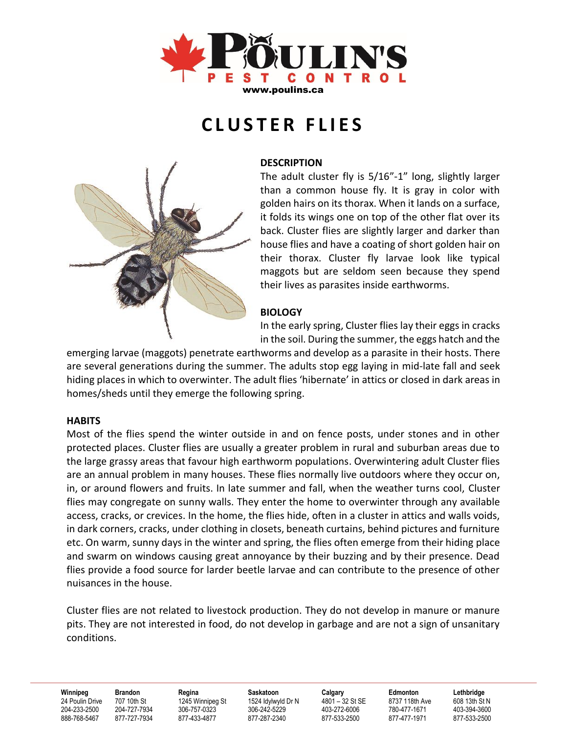

# **C L U S T E R F L I E S**



### **DESCRIPTION**

The adult cluster fly is 5/16"-1" long, slightly larger than a common house fly. It is gray in color with golden hairs on its thorax. When it lands on a surface, it folds its wings one on top of the other flat over its back. Cluster flies are slightly larger and darker than house flies and have a coating of short golden hair on their thorax. Cluster fly larvae look like typical maggots but are seldom seen because they spend their lives as parasites inside earthworms.

## **BIOLOGY**

In the early spring, Cluster flies lay their eggs in cracks in the soil. During the summer, the eggs hatch and the

emerging larvae (maggots) penetrate earthworms and develop as a parasite in their hosts. There are several generations during the summer. The adults stop egg laying in mid-late fall and seek hiding places in which to overwinter. The adult flies 'hibernate' in attics or closed in dark areas in homes/sheds until they emerge the following spring.

## **HABITS**

Most of the flies spend the winter outside in and on fence posts, under stones and in other protected places. Cluster flies are usually a greater problem in rural and suburban areas due to the large grassy areas that favour high earthworm populations. Overwintering adult Cluster flies are an annual problem in many houses. These flies normally live outdoors where they occur on, in, or around flowers and fruits. In late summer and fall, when the weather turns cool, Cluster flies may congregate on sunny walls. They enter the home to overwinter through any available access, cracks, or crevices. In the home, the flies hide, often in a cluster in attics and walls voids, in dark corners, cracks, under clothing in closets, beneath curtains, behind pictures and furniture etc. On warm, sunny days in the winter and spring, the flies often emerge from their hiding place and swarm on windows causing great annoyance by their buzzing and by their presence. Dead flies provide a food source for larder beetle larvae and can contribute to the presence of other nuisances in the house.

Cluster flies are not related to livestock production. They do not develop in manure or manure pits. They are not interested in food, do not develop in garbage and are not a sign of unsanitary conditions.

**Winnipeg Brandon Regina Saskatoon Calgary Edmonton Lethbridge**  24 Poulin Drive 707 10th St 1245 Winnipeg St 1524 Idylwyld Dr N 4801 – 32 St SE 8737 118th Ave 608 13th St N 204-233-2500 204-727-7934 306-757-0323 306-242-5229 403-272-6006 780-477-1671 403-394-3600 888-768-5467 877-727-7934 877-433-4877 877-287-2340 877-533-2500 877-477-1971 877-533-2500